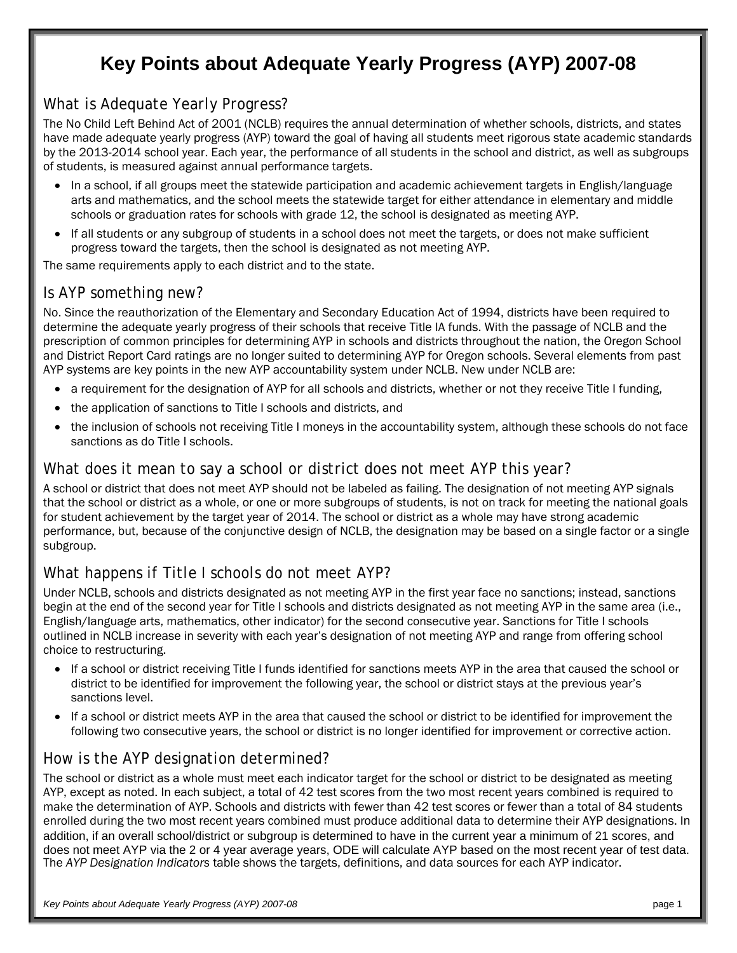# **Key Points about Adequate Yearly Progress (AYP) 2007-08**

#### *What is Adequate Yearly Progress?*

The No Child Left Behind Act of 2001 (NCLB) requires the annual determination of whether schools, districts, and states have made adequate yearly progress (AYP) toward the goal of having all students meet rigorous state academic standards by the 2013-2014 school year. Each year, the performance of all students in the school and district, as well as subgroups of students, is measured against annual performance targets.

- In a school, if all groups meet the statewide participation and academic achievement targets in English/language arts and mathematics, and the school meets the statewide target for either attendance in elementary and middle schools or graduation rates for schools with grade 12, the school is designated as meeting AYP.
- If all students or any subgroup of students in a school does not meet the targets, or does not make sufficient progress toward the targets, then the school is designated as not meeting AYP.

The same requirements apply to each district and to the state.

#### *Is AYP something new?*

No. Since the reauthorization of the Elementary and Secondary Education Act of 1994, districts have been required to determine the adequate yearly progress of their schools that receive Title IA funds. With the passage of NCLB and the prescription of common principles for determining AYP in schools and districts throughout the nation, the Oregon School and District Report Card ratings are no longer suited to determining AYP for Oregon schools. Several elements from past AYP systems are key points in the new AYP accountability system under NCLB. New under NCLB are:

- a requirement for the designation of AYP for all schools and districts, whether or not they receive Title I funding,
- the application of sanctions to Title I schools and districts, and
- the inclusion of schools not receiving Title I moneys in the accountability system, although these schools do not face sanctions as do Title I schools.

#### *What does it mean to say a school or district does not meet AYP this year?*

A school or district that does not meet AYP should not be labeled as failing. The designation of not meeting AYP signals that the school or district as a whole, or one or more subgroups of students, is not on track for meeting the national goals for student achievement by the target year of 2014. The school or district as a whole may have strong academic performance, but, because of the conjunctive design of NCLB, the designation may be based on a single factor or a single subgroup.

#### *What happens if Title I schools do not meet AYP?*

Under NCLB, schools and districts designated as not meeting AYP in the first year face no sanctions; instead, sanctions begin at the end of the second year for Title I schools and districts designated as not meeting AYP in the same area (i.e., English/language arts, mathematics, other indicator) for the second consecutive year. Sanctions for Title I schools outlined in NCLB increase in severity with each year's designation of not meeting AYP and range from offering school choice to restructuring.

- If a school or district receiving Title I funds identified for sanctions meets AYP in the area that caused the school or district to be identified for improvement the following year, the school or district stays at the previous year's sanctions level.
- If a school or district meets AYP in the area that caused the school or district to be identified for improvement the following two consecutive years, the school or district is no longer identified for improvement or corrective action.

#### *How is the AYP designation determined?*

The school or district as a whole must meet each indicator target for the school or district to be designated as meeting AYP, except as noted. In each subject, a total of 42 test scores from the two most recent years combined is required to make the determination of AYP. Schools and districts with fewer than 42 test scores or fewer than a total of 84 students enrolled during the two most recent years combined must produce additional data to determine their AYP designations. In addition, if an overall school/district or subgroup is determined to have in the current year a minimum of 21 scores, and does not meet AYP via the 2 or 4 year average years, ODE will calculate AYP based on the most recent year of test data. The *AYP Designation Indicators* table shows the targets, definitions, and data sources for each AYP indicator.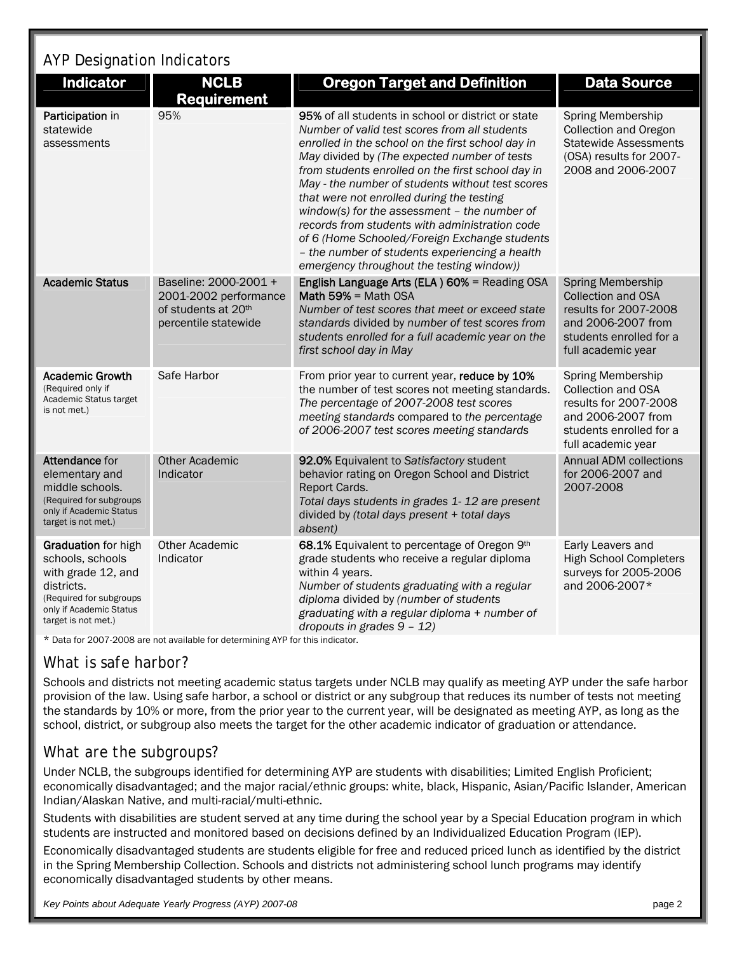# AYP Designation Indicators

| <b>Indicator</b>                                                                                                                                         | <b>NCLB</b><br><b>Requirement</b>                                                             | <b>Oregon Target and Definition</b>                                                                                                                                                                                                                                                                                                                                                                                                                                                                                                                                                                                | <b>Data Source</b>                                                                                                                                    |
|----------------------------------------------------------------------------------------------------------------------------------------------------------|-----------------------------------------------------------------------------------------------|--------------------------------------------------------------------------------------------------------------------------------------------------------------------------------------------------------------------------------------------------------------------------------------------------------------------------------------------------------------------------------------------------------------------------------------------------------------------------------------------------------------------------------------------------------------------------------------------------------------------|-------------------------------------------------------------------------------------------------------------------------------------------------------|
| Participation in<br>statewide<br>assessments                                                                                                             | 95%                                                                                           | 95% of all students in school or district or state<br>Number of valid test scores from all students<br>enrolled in the school on the first school day in<br>May divided by (The expected number of tests<br>from students enrolled on the first school day in<br>May - the number of students without test scores<br>that were not enrolled during the testing<br>window(s) for the assessment $-$ the number of<br>records from students with administration code<br>of 6 (Home Schooled/Foreign Exchange students<br>- the number of students experiencing a health<br>emergency throughout the testing window)) | Spring Membership<br><b>Collection and Oregon</b><br><b>Statewide Assessments</b><br>(OSA) results for 2007-<br>2008 and 2006-2007                    |
| <b>Academic Status</b>                                                                                                                                   | Baseline: 2000-2001 +<br>2001-2002 performance<br>of students at 20th<br>percentile statewide | English Language Arts (ELA) 60% = Reading OSA<br>Math $59\%$ = Math OSA<br>Number of test scores that meet or exceed state<br>standards divided by number of test scores from<br>students enrolled for a full academic year on the<br>first school day in May                                                                                                                                                                                                                                                                                                                                                      | <b>Spring Membership</b><br><b>Collection and OSA</b><br>results for 2007-2008<br>and 2006-2007 from<br>students enrolled for a<br>full academic year |
| <b>Academic Growth</b><br>(Required only if<br>Academic Status target<br>is not met.)                                                                    | Safe Harbor                                                                                   | From prior year to current year, reduce by 10%<br>the number of test scores not meeting standards.<br>The percentage of 2007-2008 test scores<br>meeting standards compared to the percentage<br>of 2006-2007 test scores meeting standards                                                                                                                                                                                                                                                                                                                                                                        | Spring Membership<br><b>Collection and OSA</b><br>results for 2007-2008<br>and 2006-2007 from<br>students enrolled for a<br>full academic year        |
| <b>Attendance for</b><br>elementary and<br>middle schools.<br>(Required for subgroups<br>only if Academic Status<br>target is not met.)                  | <b>Other Academic</b><br>Indicator                                                            | 92.0% Equivalent to Satisfactory student<br>behavior rating on Oregon School and District<br>Report Cards.<br>Total days students in grades 1-12 are present<br>divided by (total days present + total days<br>absent)                                                                                                                                                                                                                                                                                                                                                                                             | <b>Annual ADM collections</b><br>for 2006-2007 and<br>2007-2008                                                                                       |
| Graduation for high<br>schools, schools<br>with grade 12, and<br>districts.<br>(Required for subgroups<br>only if Academic Status<br>target is not met.) | <b>Other Academic</b><br>Indicator                                                            | 68.1% Equivalent to percentage of Oregon 9th<br>grade students who receive a regular diploma<br>within 4 years.<br>Number of students graduating with a regular<br>diploma divided by (number of students<br>graduating with a regular diploma + number of<br>dropouts in grades $9 - 12$ )                                                                                                                                                                                                                                                                                                                        | Early Leavers and<br><b>High School Completers</b><br>surveys for 2005-2006<br>and 2006-2007*                                                         |

\* Data for 2007-2008 are not available for determining AYP for this indicator.

### *What is safe harbor?*

Schools and districts not meeting academic status targets under NCLB may qualify as meeting AYP under the safe harbor provision of the law. Using safe harbor, a school or district or any subgroup that reduces its number of tests not meeting the standards by 10% or more, from the prior year to the current year, will be designated as meeting AYP, as long as the school, district, or subgroup also meets the target for the other academic indicator of graduation or attendance.

### *What are the subgroups?*

Under NCLB, the subgroups identified for determining AYP are students with disabilities; Limited English Proficient; economically disadvantaged; and the major racial/ethnic groups: white, black, Hispanic, Asian/Pacific Islander, American Indian/Alaskan Native, and multi-racial/multi-ethnic.

Students with disabilities are student served at any time during the school year by a Special Education program in which students are instructed and monitored based on decisions defined by an Individualized Education Program (IEP).

Economically disadvantaged students are students eligible for free and reduced priced lunch as identified by the district in the Spring Membership Collection. Schools and districts not administering school lunch programs may identify economically disadvantaged students by other means.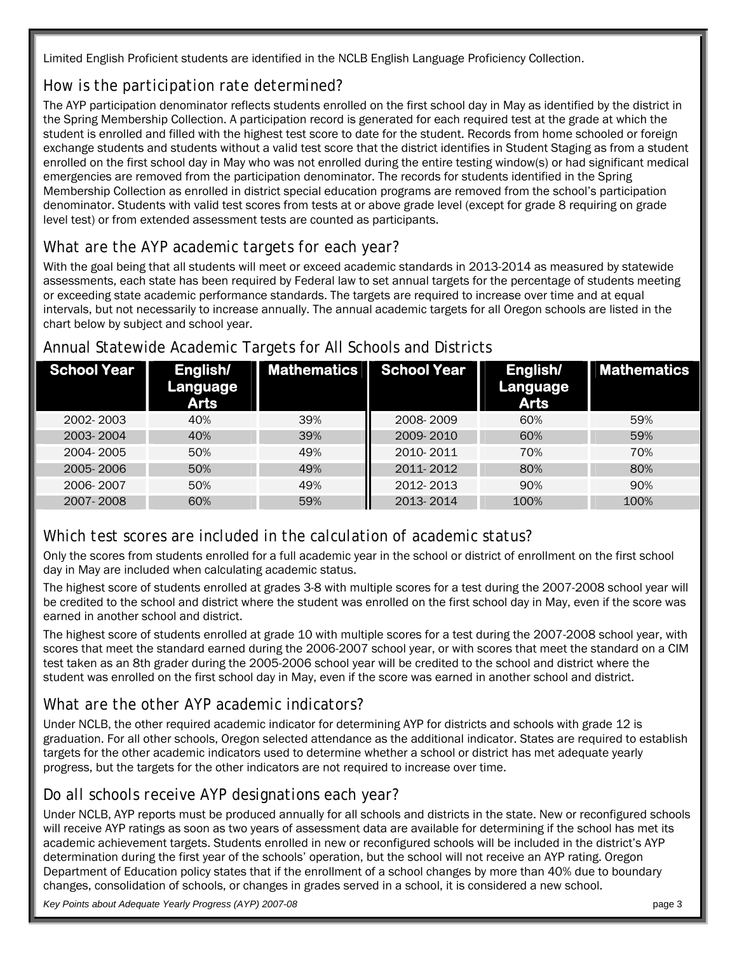Limited English Proficient students are identified in the NCLB English Language Proficiency Collection.

### *How is the participation rate determined?*

The AYP participation denominator reflects students enrolled on the first school day in May as identified by the district in the Spring Membership Collection. A participation record is generated for each required test at the grade at which the student is enrolled and filled with the highest test score to date for the student. Records from home schooled or foreign exchange students and students without a valid test score that the district identifies in Student Staging as from a student enrolled on the first school day in May who was not enrolled during the entire testing window(s) or had significant medical emergencies are removed from the participation denominator. The records for students identified in the Spring Membership Collection as enrolled in district special education programs are removed from the school's participation denominator. Students with valid test scores from tests at or above grade level (except for grade 8 requiring on grade level test) or from extended assessment tests are counted as participants.

### *What are the AYP academic targets for each year?*

With the goal being that all students will meet or exceed academic standards in 2013-2014 as measured by statewide assessments, each state has been required by Federal law to set annual targets for the percentage of students meeting or exceeding state academic performance standards. The targets are required to increase over time and at equal intervals, but not necessarily to increase annually. The annual academic targets for all Oregon schools are listed in the chart below by subject and school year.

| School Year | English/<br>Language<br><b>Arts</b> | <b>Mathematics</b> | <b>School Year</b> | English/<br>Language<br><b>Arts</b> | <b>Mathematics</b> |
|-------------|-------------------------------------|--------------------|--------------------|-------------------------------------|--------------------|
| 2002-2003   | 40%                                 | 39%                | 2008-2009          | 60%                                 | 59%                |
| 2003-2004   | 40%                                 | 39%                | 2009-2010          | 60%                                 | 59%                |
| 2004-2005   | 50%                                 | 49%                | 2010-2011          | 70%                                 | 70%                |
| 2005-2006   | 50%                                 | 49%                | 2011-2012          | 80%                                 | 80%                |
| 2006-2007   | 50%                                 | 49%                | 2012-2013          | 90%                                 | 90%                |
| 2007-2008   | 60%                                 | 59%                | 2013-2014          | 100%                                | 100%               |

### Annual Statewide Academic Targets for All Schools and Districts

### *Which test scores are included in the calculation of academic status?*

Only the scores from students enrolled for a full academic year in the school or district of enrollment on the first school day in May are included when calculating academic status.

The highest score of students enrolled at grades 3-8 with multiple scores for a test during the 2007-2008 school year will be credited to the school and district where the student was enrolled on the first school day in May, even if the score was earned in another school and district.

The highest score of students enrolled at grade 10 with multiple scores for a test during the 2007-2008 school year, with scores that meet the standard earned during the 2006-2007 school year, or with scores that meet the standard on a CIM test taken as an 8th grader during the 2005-2006 school year will be credited to the school and district where the student was enrolled on the first school day in May, even if the score was earned in another school and district.

### *What are the other AYP academic indicators?*

Under NCLB, the other required academic indicator for determining AYP for districts and schools with grade 12 is graduation. For all other schools, Oregon selected attendance as the additional indicator. States are required to establish targets for the other academic indicators used to determine whether a school or district has met adequate yearly progress, but the targets for the other indicators are not required to increase over time.

### *Do all schools receive AYP designations each year?*

Under NCLB, AYP reports must be produced annually for all schools and districts in the state. New or reconfigured schools will receive AYP ratings as soon as two years of assessment data are available for determining if the school has met its academic achievement targets. Students enrolled in new or reconfigured schools will be included in the district's AYP determination during the first year of the schools' operation, but the school will not receive an AYP rating. Oregon Department of Education policy states that if the enrollment of a school changes by more than 40% due to boundary changes, consolidation of schools, or changes in grades served in a school, it is considered a new school.

*Key Points about Adequate Yearly Progress (AYP) 2007-08* page 3